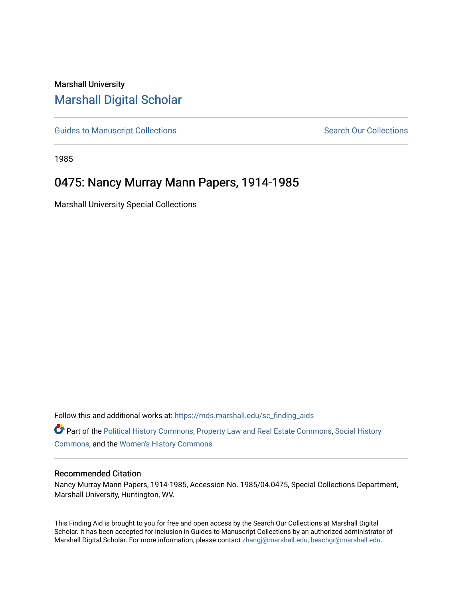# Marshall University [Marshall Digital Scholar](https://mds.marshall.edu/)

[Guides to Manuscript Collections](https://mds.marshall.edu/sc_finding_aids) **Search Our Collections** Search Our Collections

1985

# 0475: Nancy Murray Mann Papers, 1914-1985

Marshall University Special Collections

Follow this and additional works at: [https://mds.marshall.edu/sc\\_finding\\_aids](https://mds.marshall.edu/sc_finding_aids?utm_source=mds.marshall.edu%2Fsc_finding_aids%2F266&utm_medium=PDF&utm_campaign=PDFCoverPages) 

Part of the [Political History Commons,](http://network.bepress.com/hgg/discipline/505?utm_source=mds.marshall.edu%2Fsc_finding_aids%2F266&utm_medium=PDF&utm_campaign=PDFCoverPages) [Property Law and Real Estate Commons,](http://network.bepress.com/hgg/discipline/897?utm_source=mds.marshall.edu%2Fsc_finding_aids%2F266&utm_medium=PDF&utm_campaign=PDFCoverPages) [Social History](http://network.bepress.com/hgg/discipline/506?utm_source=mds.marshall.edu%2Fsc_finding_aids%2F266&utm_medium=PDF&utm_campaign=PDFCoverPages)  [Commons](http://network.bepress.com/hgg/discipline/506?utm_source=mds.marshall.edu%2Fsc_finding_aids%2F266&utm_medium=PDF&utm_campaign=PDFCoverPages), and the [Women's History Commons](http://network.bepress.com/hgg/discipline/507?utm_source=mds.marshall.edu%2Fsc_finding_aids%2F266&utm_medium=PDF&utm_campaign=PDFCoverPages) 

#### Recommended Citation

Nancy Murray Mann Papers, 1914-1985, Accession No. 1985/04.0475, Special Collections Department, Marshall University, Huntington, WV.

This Finding Aid is brought to you for free and open access by the Search Our Collections at Marshall Digital Scholar. It has been accepted for inclusion in Guides to Manuscript Collections by an authorized administrator of Marshall Digital Scholar. For more information, please contact [zhangj@marshall.edu, beachgr@marshall.edu](mailto:zhangj@marshall.edu,%20beachgr@marshall.edu).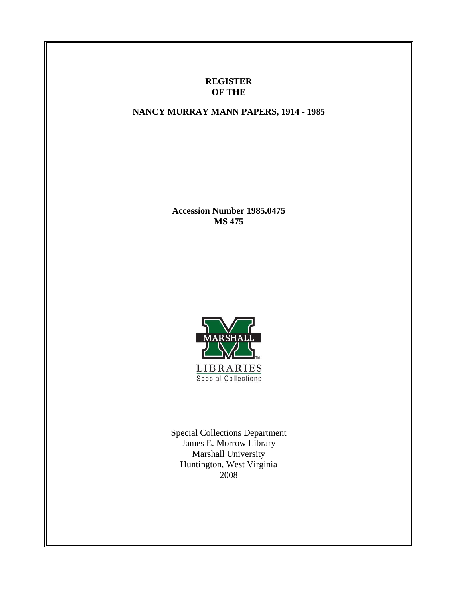## **REGISTER OF THE**

## **NANCY MURRAY MANN PAPERS, 1914 - 1985**

**Accession Number 1985.0475 MS 475**



**LIBRARIES Special Collections** 

Special Collections Department James E. Morrow Library Marshall University Huntington, West Virginia 2008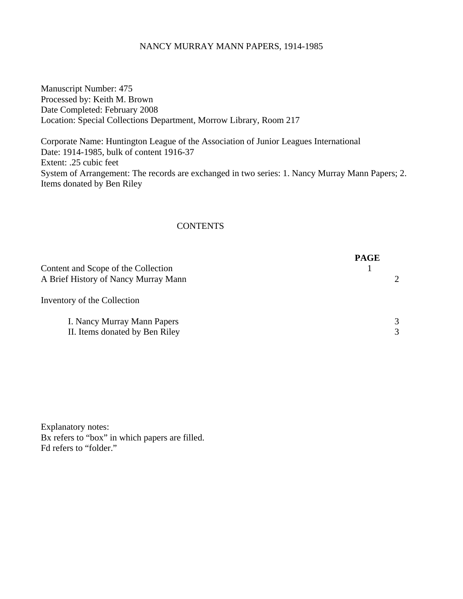### NANCY MURRAY MANN PAPERS, 1914-1985

Manuscript Number: 475 Processed by: Keith M. Brown Date Completed: February 2008 Location: Special Collections Department, Morrow Library, Room 217

Corporate Name: Huntington League of the Association of Junior Leagues International Date: 1914-1985, bulk of content 1916-37 Extent: .25 cubic feet System of Arrangement: The records are exchanged in two series: 1. Nancy Murray Mann Papers; 2. Items donated by Ben Riley

## **CONTENTS**

|                                                                             | <b>PAGE</b> |                             |
|-----------------------------------------------------------------------------|-------------|-----------------------------|
| Content and Scope of the Collection<br>A Brief History of Nancy Murray Mann |             | $\mathcal{D}_{\mathcal{L}}$ |
| Inventory of the Collection                                                 |             |                             |
| I. Nancy Murray Mann Papers                                                 |             | 3                           |
| II. Items donated by Ben Riley                                              |             | 3                           |

Explanatory notes: Bx refers to "box" in which papers are filled. Fd refers to "folder."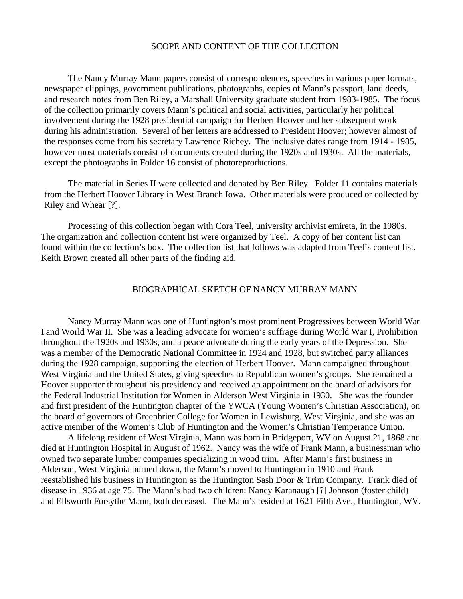#### SCOPE AND CONTENT OF THE COLLECTION

The Nancy Murray Mann papers consist of correspondences, speeches in various paper formats, newspaper clippings, government publications, photographs, copies of Mann's passport, land deeds, and research notes from Ben Riley, a Marshall University graduate student from 1983-1985. The focus of the collection primarily covers Mann's political and social activities, particularly her political involvement during the 1928 presidential campaign for Herbert Hoover and her subsequent work during his administration. Several of her letters are addressed to President Hoover; however almost of the responses come from his secretary Lawrence Richey. The inclusive dates range from 1914 - 1985, however most materials consist of documents created during the 1920s and 1930s. All the materials, except the photographs in Folder 16 consist of photoreproductions.

The material in Series II were collected and donated by Ben Riley. Folder 11 contains materials from the Herbert Hoover Library in West Branch Iowa. Other materials were produced or collected by Riley and Whear [?].

Processing of this collection began with Cora Teel, university archivist emireta, in the 1980s. The organization and collection content list were organized by Teel. A copy of her content list can found within the collection's box. The collection list that follows was adapted from Teel's content list. Keith Brown created all other parts of the finding aid.

### BIOGRAPHICAL SKETCH OF NANCY MURRAY MANN

Nancy Murray Mann was one of Huntington's most prominent Progressives between World War I and World War II. She was a leading advocate for women's suffrage during World War I, Prohibition throughout the 1920s and 1930s, and a peace advocate during the early years of the Depression. She was a member of the Democratic National Committee in 1924 and 1928, but switched party alliances during the 1928 campaign, supporting the election of Herbert Hoover. Mann campaigned throughout West Virginia and the United States, giving speeches to Republican women's groups. She remained a Hoover supporter throughout his presidency and received an appointment on the board of advisors for the Federal Industrial Institution for Women in Alderson West Virginia in 1930. She was the founder and first president of the Huntington chapter of the YWCA (Young Women's Christian Association), on the board of governors of Greenbrier College for Women in Lewisburg, West Virginia, and she was an active member of the Women's Club of Huntington and the Women's Christian Temperance Union.

 A lifelong resident of West Virginia, Mann was born in Bridgeport, WV on August 21, 1868 and died at Huntington Hospital in August of 1962. Nancy was the wife of Frank Mann, a businessman who owned two separate lumber companies specializing in wood trim. After Mann's first business in Alderson, West Virginia burned down, the Mann's moved to Huntington in 1910 and Frank reestablished his business in Huntington as the Huntington Sash Door & Trim Company. Frank died of disease in 1936 at age 75. The Mann's had two children: Nancy Karanaugh [?] Johnson (foster child) and Ellsworth Forsythe Mann, both deceased. The Mann's resided at 1621 Fifth Ave., Huntington, WV.